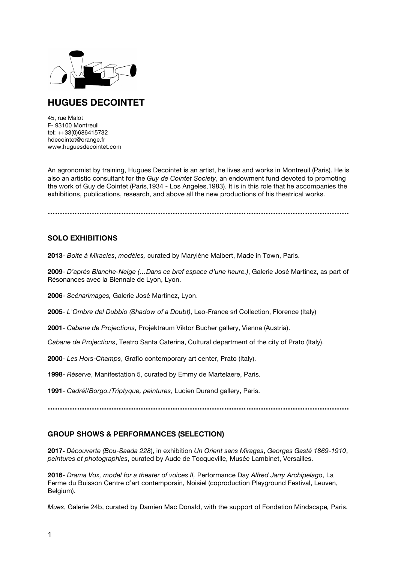

# **HUGUES DECOINTET**

45, rue Malot F- 93100 Montreuil tel: ++33(0)686415732 hdecointet@orange.fr www.huguesdecointet.com

An agronomist by training, Hugues Decointet is an artist, he lives and works in Montreuil (Paris). He is also an artistic consultant for the *Guy de Cointet Society*, an endowment fund devoted to promoting the work of Guy de Cointet (Paris,1934 - Los Angeles,1983). It is in this role that he accompanies the exhibitions, publications, research, and above all the new productions of his theatrical works.

**……………………………………………………………………………………………………………**

# **SOLO EXHIBITIONS**

**2013**- *Boîte à Miracles*, *modèles,* curated by Marylène Malbert, Made in Town, Paris.

**2009**- *D'après Blanche-Neige (…Dans ce bref espace d'une heure.)*, Galerie José Martinez, as part of Résonances avec la Biennale de Lyon, Lyon.

**2006**- *Scénarimages,* Galerie José Martinez, Lyon.

**2005**- *L'Ombre del Dubbio (Shadow of a Doubt)*, Leo-France srl Collection, Florence (Italy)

**2001**- *Cabane de Projections*, Projektraum Viktor Bucher gallery, Vienna (Austria).

*Cabane de Projections*, Teatro Santa Caterina, Cultural department of the city of Prato (Italy).

**2000**- *Les Hors-Champs*, Grafio contemporary art center, Prato (Italy).

**1998**- *Réserve*, Manifestation 5, curated by Emmy de Martelaere, Paris.

**1991**- *Cadré!/Borgo./Triptyque, peintures*, Lucien Durand gallery, Paris.

**……………………………………………………………………………………………………………**

## **GROUP SHOWS & PERFORMANCES (SELECTION)**

**2017-** *Découverte (Bou-Saada 228*), in exhibition *Un Orient sans Mirages*, *Georges Gasté 1869-1910*, *peintures et photographies*, curated by Aude de Tocqueville, Musée Lambinet, Versailles.

**2016**- *Drama Vox, model for a theater of voices II,* Performance Day *Alfred Jarry Archipelago*, La Ferme du Buisson Centre d'art contemporain, Noisiel (coproduction Playground Festival, Leuven, Belgium).

*Mues*, Galerie 24b, curated by Damien Mac Donald, with the support of Fondation Mindscape*,* Paris.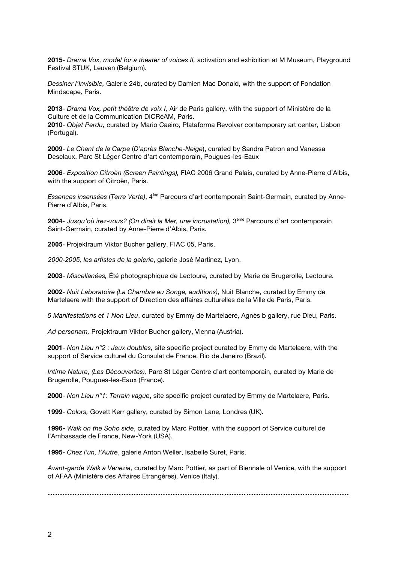**2015**- *Drama Vox, model for a theater of voices II,* activation and exhibition at M Museum, Playground Festival STUK, Leuven (Belgium).

*Dessiner l'Invisible,* Galerie 24b, curated by Damien Mac Donald, with the support of Fondation Mindscape*,* Paris.

**2013**- *Drama Vox, petit thèâtre de voix I,* Air de Paris gallery, with the support of Ministère de la Culture et de la Communication DICRéAM, Paris. **2010**- *Objet Perdu,* curated by Mario Caeiro, Plataforma Revolver contemporary art center, Lisbon

(Portugal). **2009**- *Le Chant de la Carpe* (*D'après Blanche-Neige*), curated by Sandra Patron and Vanessa

Desclaux, Parc St Léger Centre d'art contemporain, Pougues-les-Eaux

**2006***- Exposition Citroën (Screen Paintings),* FIAC 2006 Grand Palais, curated by Anne-Pierre d'Albis, with the support of Citroën, Paris.

*Essences insensées* (*Terre Verte)*, 4èm Parcours d'art contemporain Saint-Germain, curated by Anne-Pierre d'Albis, Paris.

**2004***- Jusqu'où irez-vous? (On dirait la Mer, une incrustation),* 3ème Parcours d'art contemporain Saint-Germain, curated by Anne-Pierre d'Albis, Paris.

**2005**- Projektraum Viktor Bucher gallery, FIAC 05, Paris.

*2000-2005, les artistes de la galerie*, galerie José Martinez, Lyon.

**2003**- *Miscellanées,* Été photographique de Lectoure, curated by Marie de Brugerolle, Lectoure.

**2002**- *Nuit Laboratoire (La Chambre au Songe, auditions)*, Nuit Blanche, curated by Emmy de Martelaere with the support of Direction des affaires culturelles de la Ville de Paris, Paris.

*5 Manifestations et 1 Non Lieu*, curated by Emmy de Martelaere, Agnès b gallery, rue Dieu, Paris.

*Ad personam,* Projektraum Viktor Bucher gallery, Vienna (Austria).

**2001**- *Non Lieu n°2 : Jeux doubles,* site specific project curated by Emmy de Martelaere, with the support of Service culturel du Consulat de France, Rio de Janeiro (Brazil).

*Intime Nature*, *(Les Découvertes),* Parc St Léger Centre d'art contemporain, curated by Marie de Brugerolle, Pougues-les-Eaux (France).

**2000**- *Non Lieu n°1: Terrain vague*, site specific project curated by Emmy de Martelaere, Paris.

**1999***- Colors,* Govett Kerr gallery, curated by Simon Lane, Londres (UK).

**1996***- Walk on the Soho side*, curated by Marc Pottier, with the support of Service culturel de l'Ambassade de France, New-York (USA).

**1995**- *Chez l'un, l'Autre*, galerie Anton Weller, Isabelle Suret, Paris.

*Avant-garde Walk a Venezia*, curated by Marc Pottier, as part of Biennale of Venice, with the support of AFAA (Ministère des Affaires Etrangères), Venice (Italy).

**……………………………………………………………………………………………………………**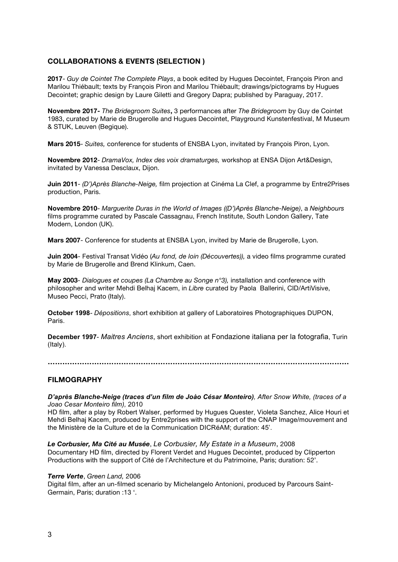# **COLLABORATIONS & EVENTS (SELECTION )**

**2017**- *Guy de Cointet The Complete Plays*, a book edited by Hugues Decointet, François Piron and Marilou Thiébault; texts by François Piron and Marilou Thiébault; drawings/pictograms by Hugues Decointet; graphic design by Laure Giletti and Gregory Dapra; published by Paraguay, 2017.

**Novembre 2017-** *The Bridegroom Suites***,** 3 performances after *The Bridegroom* by Guy de Cointet 1983, curated by Marie de Brugerolle and Hugues Decointet, Playground Kunstenfestival, M Museum & STUK, Leuven (Begique).

**Mars 2015**- *Suites,* conference for students of ENSBA Lyon, invitated by François Piron, Lyon.

**Novembre 2012**- *DramaVox, Index des voix dramaturges,* workshop at ENSA Dijon Art&Design, invitated by Vanessa Desclaux, Dijon.

**Juin 2011**- *(D')Après Blanche-Neige,* film projection at Cinéma La Clef, a programme by Entre2Prises production, Paris.

**Novembre 2010**- *Marguerite Duras in the World of Images ((D')Après Blanche-Neige)*, a *Neighbours*  films programme curated by Pascale Cassagnau, French Institute, South London Gallery, Tate Modern, London (UK).

**Mars 2007**- Conference for students at ENSBA Lyon, invited by Marie de Brugerolle, Lyon.

**Juin 2004**- Festival Transat Vidéo (*Au fond, de loin (Découvertes)),* a video films programme curated by Marie de Brugerolle and Brend Klinkum, Caen.

**May 2003***- Dialogues et coupes (La Chambre au Songe n°3),* installation and conference with philosopher and writer Mehdi Belhaj Kacem, in *Libre* curated by Paola Ballerini, CID/ArtiVisive, Museo Pecci, Prato (Italy).

**October 1998***- Dépositions*, short exhibition at gallery of Laboratoires Photographiques DUPON, Paris.

**December 1997**- *Maitres Anciens*, short exhibition at Fondazione italiana per la fotografia, Turin (Italy).

**……………………………………………………………………………………………………………**

## **FILMOGRAPHY**

*D'après Blanche-Neige (traces d'un film de Joào César Monteiro), After Snow White, (traces of a Joao Cesar Monteiro film),* 2010

HD film, after a play by Robert Walser, performed by Hugues Quester, Violeta Sanchez, Alice Houri et Mehdi Belhaj Kacem, produced by Entre2prises with the support of the CNAP Image/mouvement and the Ministère de la Culture et de la Communication DICRéAM; duration: 45'.

*Le Corbusier, Ma Cité au Musée*, *Le Corbusier, My Estate in a Museum*, 2008 Documentary HD film, directed by Florent Verdet and Hugues Decointet, produced by Clipperton Productions with the support of Cité de l'Architecture et du Patrimoine, Paris; duration: 52'.

#### *Terre Verte*, *Green Land,* 2006

Digital film, after an un-filmed scenario by Michelangelo Antonioni, produced by Parcours Saint-Germain, Paris; duration :13 '.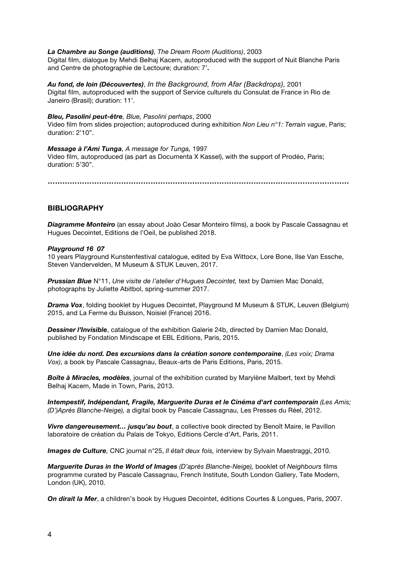#### *La Chambre au Songe (auditions), The Dream Room (Auditions)*, 2003

Digital film, dialogue by Mehdi Belhaj Kacem, autoproduced with the support of Nuit Blanche Paris and Centre de photographie de Lectoure; duration: 7'**.**

*Au fond, de loin (Découvertes)*, *In the Background, from Afar (Backdrops),* 2001 Digital film, autoproduced with the support of Service culturels du Consulat de France in Rio de Janeiro (Brasil); duration: 11'.

#### *Bleu, Pasolini peut-être, Blue, Pasolini perhaps*, 2000

Video film from slides projection; autoproduced during exhibition *Non Lieu n°1: Terrain vague*, Paris; duration: 2'10".

*Message à l'Ami Tunga, A message for Tunga,* 1997 Video film, autoproduced (as part as Documenta X Kassel), with the support of Prodéo, Paris; duration: 5'30".

**……………………………………………………………………………………………………………**

## **BIBLIOGRAPHY**

*Diagramme Monteiro* (an essay about Joào Cesar Monteiro films), a book by Pascale Cassagnau et Hugues Decointet, Editions de l'Oeil, be published 2018.

#### *Playground 16 07*

10 years Playground Kunstenfestival catalogue, edited by Eva Wittocx, Lore Bone, Ilse Van Essche, Steven Vandervelden, M Museum & STUK Leuven, 2017.

*Prussian Blue* N°11, *Une visite de l'atelier d'Hugues Decointet,* text by Damien Mac Donald, photographs by Juliette Abitbol, spring-summer 2017.

*Drama Vox*, folding booklet by Hugues Decointet, Playground M Museum & STUK, Leuven (Belgium) 2015, and La Ferme du Buisson, Noisiel (France) 2016.

**Dessiner l'Invisible**, catalogue of the exhibition Galerie 24b, directed by Damien Mac Donald, published by Fondation Mindscape et EBL Editions, Paris, 2015.

*Une idée du nord. Des excursions dans la création sonore contemporaine*, *(Les voix; Drama Vox)*, a book by Pascale Cassagnau, Beaux-arts de Paris Editions, Paris, 2015.

*Boîte à Miracles, modèles*, journal of the exhibition curated by Marylène Malbert, text by Mehdi Belhaj Kacem, Made in Town, Paris, 2013.

*Intempestif, Indépendant, Fragile, Marguerite Duras et le Cinéma d'art contemporain (Les Amis; (D')Après Blanche-Neige),* a digital book by Pascale Cassagnau, Les Presses du Réel, 2012.

*Vivre dangereusement… jusqu'au bout*, a collective book directed by Benoît Maire, le Pavillon laboratoire de création du Palais de Tokyo, Editions Cercle d'Art, Paris, 2011.

*Images de Culture,* CNC journal n°25, *Il était deux fois,* interview by Sylvain Maestraggi, 2010.

*Marguerite Duras in the World of Images (D'après Blanche-Neige),* booklet of *Neighbours* films programme curated by Pascale Cassagnau, French Institute, South London Gallery, Tate Modern, London (UK), 2010.

*On dirait la Mer*, a children's book by Hugues Decointet, éditions Courtes & Longues, Paris, 2007.